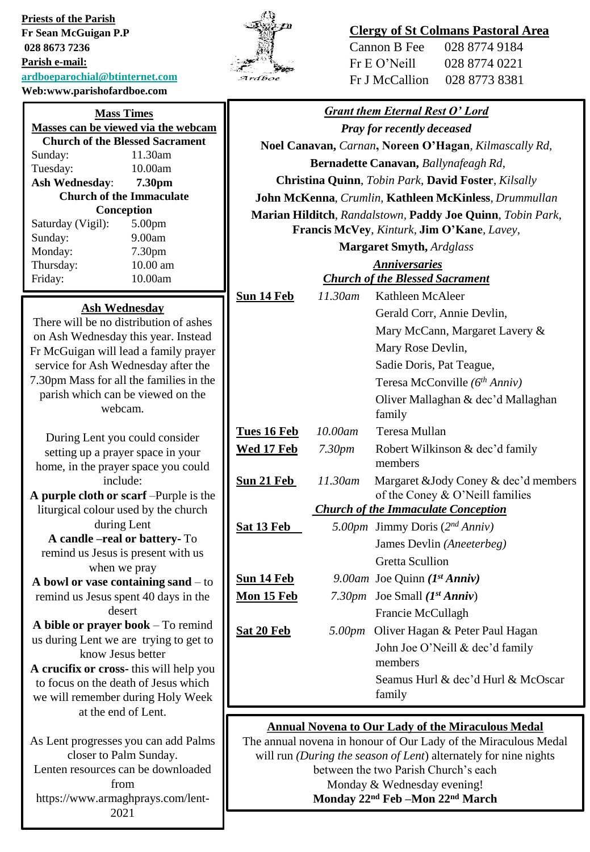**Priests of the Parish Fr Sean McGuigan P.P 028 8673 7236 Parish e-mail: [ardboeparochial@btinternet.com](mailto:ardboeparochial@btinternet.com) Web:www.parishofardboe.com**

# 'n Ardboe

# **Clergy of St Colmans Pastoral Area**

| Cannon B Fee   | 028 8774 9184 |
|----------------|---------------|
| Fr E O' Neill  | 028 8774 0221 |
| Fr J McCallion | 028 8773 8381 |

| vv ed. w w w.pai ishqiai udoe.com                                              |                                                                                                                                     |                                                       |                                        |  |
|--------------------------------------------------------------------------------|-------------------------------------------------------------------------------------------------------------------------------------|-------------------------------------------------------|----------------------------------------|--|
| <b>Mass Times</b>                                                              | <b>Grant them Eternal Rest O' Lord</b>                                                                                              |                                                       |                                        |  |
| Masses can be viewed via the webcam                                            |                                                                                                                                     | <b>Pray for recently deceased</b>                     |                                        |  |
| <b>Church of the Blessed Sacrament</b>                                         |                                                                                                                                     | Noel Canavan, Carnan, Noreen O'Hagan, Kilmascally Rd, |                                        |  |
| 11.30am<br>Sunday:<br>10.00am<br>Tuesday:                                      | Bernadette Canavan, Ballynafeagh Rd,                                                                                                |                                                       |                                        |  |
| <b>Ash Wednesday:</b><br>7.30pm                                                | Christina Quinn, Tobin Park, David Foster, Kilsally                                                                                 |                                                       |                                        |  |
| <b>Church of the Immaculate</b>                                                | John McKenna, Crumlin, Kathleen McKinless, Drummullan                                                                               |                                                       |                                        |  |
| Conception                                                                     | Marian Hilditch, Randalstown, Paddy Joe Quinn, Tobin Park,                                                                          |                                                       |                                        |  |
| Saturday (Vigil):<br>5.00pm                                                    | Francis McVey, Kinturk, Jim O'Kane, Lavey,                                                                                          |                                                       |                                        |  |
| 9.00am<br>Sunday:<br>Monday:<br>7.30pm                                         | <b>Margaret Smyth, Ardglass</b>                                                                                                     |                                                       |                                        |  |
| 10.00 am<br>Thursday:                                                          | <b>Anniversaries</b>                                                                                                                |                                                       |                                        |  |
| 10.00am<br>Friday:                                                             |                                                                                                                                     |                                                       | <b>Church of the Blessed Sacrament</b> |  |
|                                                                                | Sun 14 Feb                                                                                                                          | 11.30am                                               | Kathleen McAleer                       |  |
| <b>Ash Wednesday</b>                                                           |                                                                                                                                     |                                                       | Gerald Corr, Annie Devlin,             |  |
| There will be no distribution of ashes<br>on Ash Wednesday this year. Instead  |                                                                                                                                     |                                                       | Mary McCann, Margaret Lavery &         |  |
| Fr McGuigan will lead a family prayer                                          |                                                                                                                                     |                                                       | Mary Rose Devlin,                      |  |
| service for Ash Wednesday after the                                            |                                                                                                                                     |                                                       | Sadie Doris, Pat Teague,               |  |
| 7.30pm Mass for all the families in the                                        |                                                                                                                                     |                                                       | Teresa McConville (6th Anniv)          |  |
| parish which can be viewed on the                                              |                                                                                                                                     |                                                       | Oliver Mallaghan & dec'd Mallaghan     |  |
| webcam.                                                                        |                                                                                                                                     |                                                       | family                                 |  |
| During Lent you could consider                                                 | Tues 16 Feb                                                                                                                         | 10.00am                                               | Teresa Mullan                          |  |
| setting up a prayer space in your                                              | Wed 17 Feb                                                                                                                          | 7.30 <sub>pm</sub>                                    | Robert Wilkinson & dec'd family        |  |
| home, in the prayer space you could                                            |                                                                                                                                     |                                                       | members                                |  |
| include:                                                                       | Sun 21 Feb                                                                                                                          | 11.30am                                               | Margaret &Jody Coney & dec'd members   |  |
| A purple cloth or scarf - Purple is the                                        | of the Coney & O'Neill families                                                                                                     |                                                       |                                        |  |
| liturgical colour used by the church                                           | <b>Church of the Immaculate Conception</b>                                                                                          |                                                       |                                        |  |
| during Lent<br>A candle -real or battery-To                                    | Sat 13 Feb                                                                                                                          |                                                       | 5.00pm Jimmy Doris (2nd Anniv)         |  |
| remind us Jesus is present with us                                             |                                                                                                                                     |                                                       | James Devlin (Aneeterbeg)              |  |
| when we pray                                                                   |                                                                                                                                     |                                                       | <b>Gretta Scullion</b>                 |  |
| A bowl or vase containing sand $-$ to                                          | Sun 14 Feb                                                                                                                          |                                                       | 9.00am Joe Quinn ( $Ist Anniv$ )       |  |
| remind us Jesus spent 40 days in the                                           | Mon 15 Feb                                                                                                                          |                                                       | 7.30pm Joe Small $(I^{st} Anniv)$      |  |
| desert                                                                         |                                                                                                                                     |                                                       | Francie McCullagh                      |  |
| A bible or prayer book $-$ To remind<br>us during Lent we are trying to get to | Sat 20 Feb                                                                                                                          |                                                       | 5.00pm Oliver Hagan & Peter Paul Hagan |  |
| know Jesus better                                                              |                                                                                                                                     |                                                       | John Joe O'Neill & dec'd family        |  |
| A crucifix or cross-this will help you                                         |                                                                                                                                     |                                                       | members                                |  |
| to focus on the death of Jesus which                                           |                                                                                                                                     |                                                       | Seamus Hurl & dec'd Hurl & McOscar     |  |
| we will remember during Holy Week                                              |                                                                                                                                     |                                                       | family                                 |  |
| at the end of Lent.                                                            |                                                                                                                                     |                                                       |                                        |  |
|                                                                                | <b>Annual Novena to Our Lady of the Miraculous Medal</b>                                                                            |                                                       |                                        |  |
| As Lent progresses you can add Palms<br>closer to Palm Sunday.                 | The annual novena in honour of Our Lady of the Miraculous Medal<br>will run (During the season of Lent) alternately for nine nights |                                                       |                                        |  |
| Lenten resources can be downloaded                                             | between the two Parish Church's each                                                                                                |                                                       |                                        |  |
| from                                                                           | Monday & Wednesday evening!                                                                                                         |                                                       |                                        |  |

**Monday 22nd Feb –Mon 22nd March** 

2021

https://www.armaghprays.com/lent-